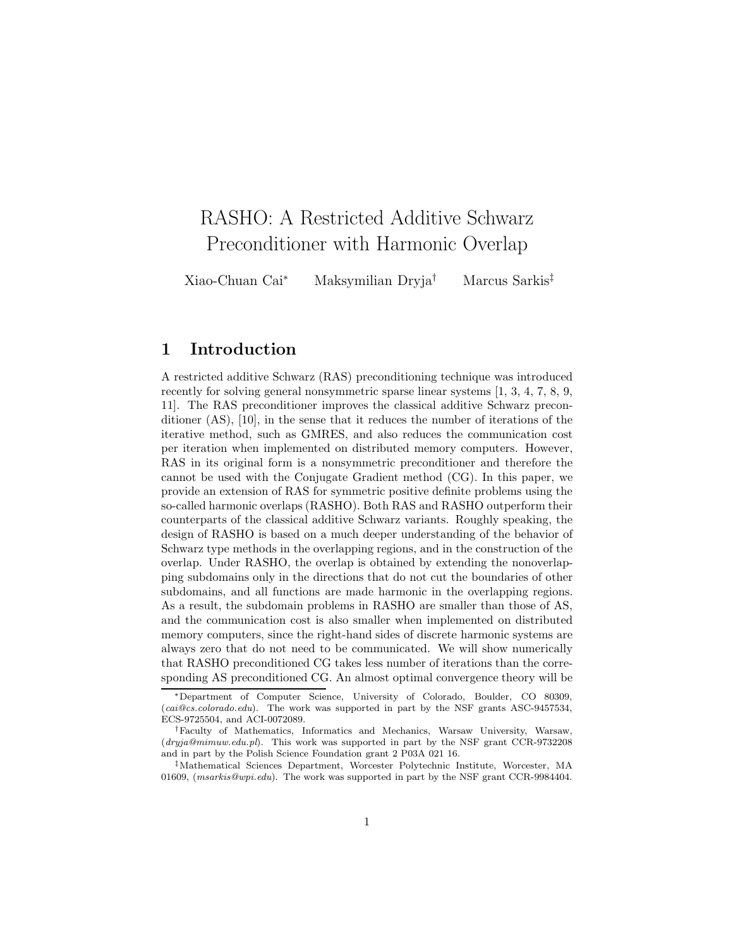# RASHO: A Restricted Additive Schwarz Preconditioner with Harmonic Overlap

Xiao-Chuan Cai<sup>∗</sup> Maksymilian Dryja† Marcus Sarkis‡

# **1 Introduction**

A restricted additive Schwarz (RAS) preconditioning technique was introduced recently for solving general nonsymmetric sparse linear systems [1, 3, 4, 7, 8, 9, 11]. The RAS preconditioner improves the classical additive Schwarz preconditioner (AS), [10], in the sense that it reduces the number of iterations of the iterative method, such as GMRES, and also reduces the communication cost per iteration when implemented on distributed memory computers. However, RAS in its original form is a nonsymmetric preconditioner and therefore the cannot be used with the Conjugate Gradient method (CG). In this paper, we provide an extension of RAS for symmetric positive definite problems using the so-called harmonic overlaps (RASHO). Both RAS and RASHO outperform their counterparts of the classical additive Schwarz variants. Roughly speaking, the design of RASHO is based on a much deeper understanding of the behavior of Schwarz type methods in the overlapping regions, and in the construction of the overlap. Under RASHO, the overlap is obtained by extending the nonoverlapping subdomains only in the directions that do not cut the boundaries of other subdomains, and all functions are made harmonic in the overlapping regions. As a result, the subdomain problems in RASHO are smaller than those of AS, and the communication cost is also smaller when implemented on distributed memory computers, since the right-hand sides of discrete harmonic systems are always zero that do not need to be communicated. We will show numerically that RASHO preconditioned CG takes less number of iterations than the corresponding AS preconditioned CG. An almost optimal convergence theory will be

<sup>∗</sup>Department of Computer Science, University of Colorado, Boulder, CO 80309, (*cai@cs.colorado.edu*). The work was supported in part by the NSF grants ASC-9457534, ECS-9725504, and ACI-0072089.

<sup>†</sup>Faculty of Mathematics, Informatics and Mechanics, Warsaw University, Warsaw, (*dryja@mimuw.edu.pl*). This work was supported in part by the NSF grant CCR-9732208 and in part by the Polish Science Foundation grant 2 P03A 021 16.

<sup>‡</sup>Mathematical Sciences Department, Worcester Polytechnic Institute, Worcester, MA 01609, (*msarkis@wpi.edu*). The work was supported in part by the NSF grant CCR-9984404.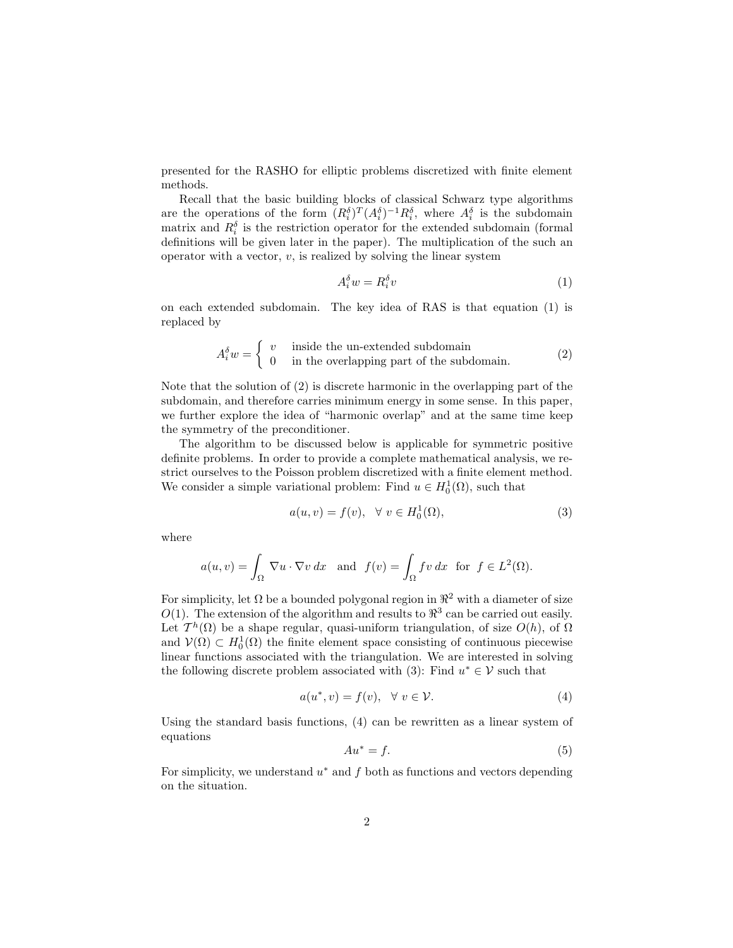presented for the RASHO for elliptic problems discretized with finite element methods.

Recall that the basic building blocks of classical Schwarz type algorithms are the operations of the form  $(R_i^{\delta})^T (A_i^{\delta})^{-1} R_i^{\delta}$ , where  $A_i^{\delta}$  is the subdomain matrix and  $R_i^{\delta}$  is the restriction operator for the extended subdomain (formal definitions will be given later in the paper). The multiplication of the such an operator with a vector,  $v$ , is realized by solving the linear system

$$
A_i^{\delta} w = R_i^{\delta} v \tag{1}
$$

on each extended subdomain. The key idea of RAS is that equation (1) is replaced by

$$
A_i^{\delta} w = \begin{cases} v & \text{inside the un-extended subdomain} \\ 0 & \text{in the overlapping part of the subdomain.} \end{cases}
$$
 (2)

Note that the solution of (2) is discrete harmonic in the overlapping part of the subdomain, and therefore carries minimum energy in some sense. In this paper, we further explore the idea of "harmonic overlap" and at the same time keep the symmetry of the preconditioner.

The algorithm to be discussed below is applicable for symmetric positive definite problems. In order to provide a complete mathematical analysis, we restrict ourselves to the Poisson problem discretized with a finite element method. We consider a simple variational problem: Find  $u \in H_0^1(\Omega)$ , such that

$$
a(u, v) = f(v), \quad \forall \ v \in H_0^1(\Omega), \tag{3}
$$

where

$$
a(u,v) = \int_{\Omega} \nabla u \cdot \nabla v \, dx \text{ and } f(v) = \int_{\Omega} fv \, dx \text{ for } f \in L^{2}(\Omega).
$$

For simplicity, let  $\Omega$  be a bounded polygonal region in  $\mathbb{R}^2$  with a diameter of size  $O(1)$ . The extension of the algorithm and results to  $\mathbb{R}^3$  can be carried out easily. Let  $T^h(\Omega)$  be a shape regular, quasi-uniform triangulation, of size  $O(h)$ , of  $\Omega$ and  $\mathcal{V}(\Omega) \subset H_0^1(\Omega)$  the finite element space consisting of continuous piecewise linear functions associated with the triangulation. We are interested in solving the following discrete problem associated with (3): Find  $u^* \in V$  such that

$$
a(u^*, v) = f(v), \quad \forall \ v \in \mathcal{V}.
$$
 (4)

Using the standard basis functions, (4) can be rewritten as a linear system of equations

$$
Au^* = f.
$$
 (5)

For simplicity, we understand  $u^*$  and f both as functions and vectors depending on the situation.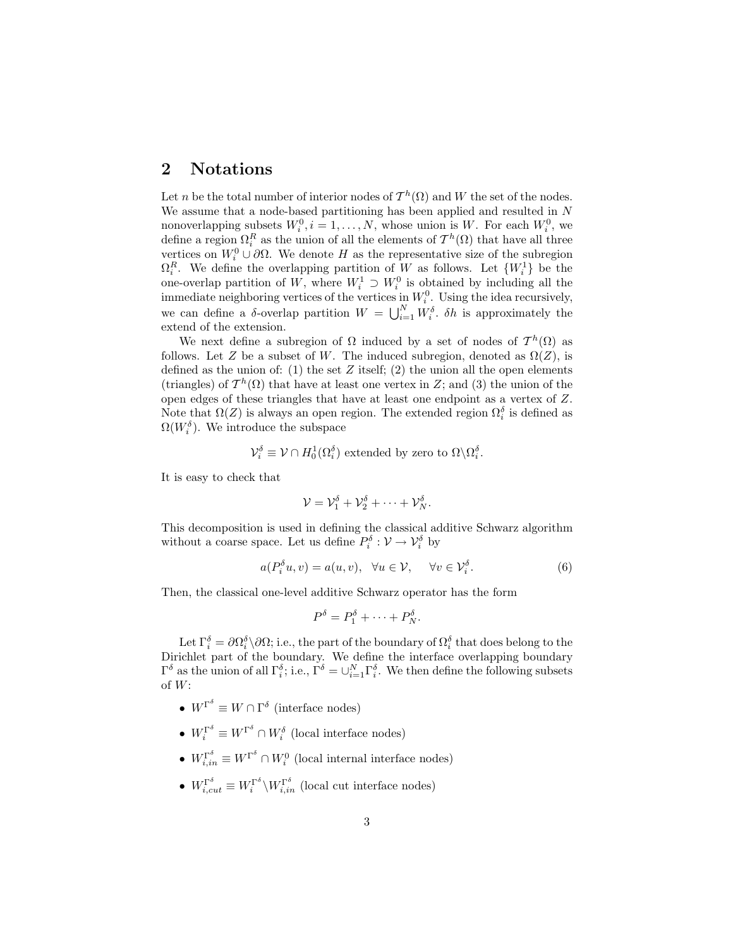## **2 Notations**

Let n be the total number of interior nodes of  $\mathcal{T}^h(\Omega)$  and W the set of the nodes. We assume that a node-based partitioning has been applied and resulted in N nonoverlapping subsets  $W_i^0$ ,  $i = 1, ..., N$ , whose union is W. For each  $W_i^0$ , we define a region  $\Omega_i^R$  as the union of all the elements of  $\mathcal{T}^h(\Omega)$  that have all three vertices on  $W_i^0 \cup \partial \Omega$ . We denote H as the representative size of the subregion  $\Omega_i^R$ . We define the overlapping partition of W as follows. Let  $\{W_i^1\}$  be the one-overlap partition of W, where  $W_i^1 \supset W_i^0$  is obtained by including all the immediate neighboring vertices of the vertices in  $W_i^0$ . Using the idea recursively, we can define a  $\delta$ -overlap partition  $W = \bigcup_{i=1}^{N} W_i^{\delta}$ .  $\delta h$  is approximately the extend of the extension.

We next define a subregion of  $\Omega$  induced by a set of nodes of  $\mathcal{T}^h(\Omega)$  as follows. Let Z be a subset of W. The induced subregion, denoted as  $\Omega(Z)$ , is defined as the union of: (1) the set  $Z$  itself; (2) the union all the open elements (triangles) of  $\mathcal{T}^h(\Omega)$  that have at least one vertex in Z; and (3) the union of the open edges of these triangles that have at least one endpoint as a vertex of Z. Note that  $\Omega(Z)$  is always an open region. The extended region  $\Omega_i^{\delta}$  is defined as  $\Omega(W_i^{\delta})$ . We introduce the subspace

$$
\mathcal{V}_i^{\delta} \equiv \mathcal{V} \cap H_0^1(\Omega_i^{\delta})
$$
 extended by zero to  $\Omega \backslash \Omega_i^{\delta}$ .

It is easy to check that

$$
\mathcal{V} = \mathcal{V}_1^{\delta} + \mathcal{V}_2^{\delta} + \cdots + \mathcal{V}_N^{\delta}.
$$

This decomposition is used in defining the classical additive Schwarz algorithm without a coarse space. Let us define  $P_i^{\delta}: \mathcal{V} \to \mathcal{V}_i^{\delta}$  by

$$
a(P_i^{\delta}u, v) = a(u, v), \quad \forall u \in \mathcal{V}, \quad \forall v \in \mathcal{V}_i^{\delta}.
$$
 (6)

Then, the classical one-level additive Schwarz operator has the form

$$
P^{\delta} = P_1^{\delta} + \cdots + P_N^{\delta}.
$$

Let  $\Gamma_i^{\delta} = \partial \Omega_i^{\delta} \setminus \partial \Omega$ ; i.e., the part of the boundary of  $\Omega_i^{\delta}$  that does belong to the Dirichlet part of the boundary. We define the interface overlapping boundary  $\Gamma^{\delta}$  as the union of all  $\Gamma_i^{\delta}$ ; i.e.,  $\Gamma^{\delta} = \cup_{i=1}^{N} \Gamma_i^{\delta}$ . We then define the following subsets of  $W$ :

- $W^{\Gamma^{\delta}} \equiv W \cap \Gamma^{\delta}$  (interface nodes)
- $W_i^{\Gamma^{\delta}} \equiv W^{\Gamma^{\delta}} \cap W_i^{\delta}$  (local interface nodes)
- $W_{i,in}^{\Gamma^{\delta}} \equiv W^{\Gamma^{\delta}} \cap W_i^0$  (local internal interface nodes)
- $W_{i, cut}^{\Gamma^{\delta}} \equiv W_i^{\Gamma^{\delta}} \backslash W_{i,in}^{\Gamma^{\delta}}$  (local cut interface nodes)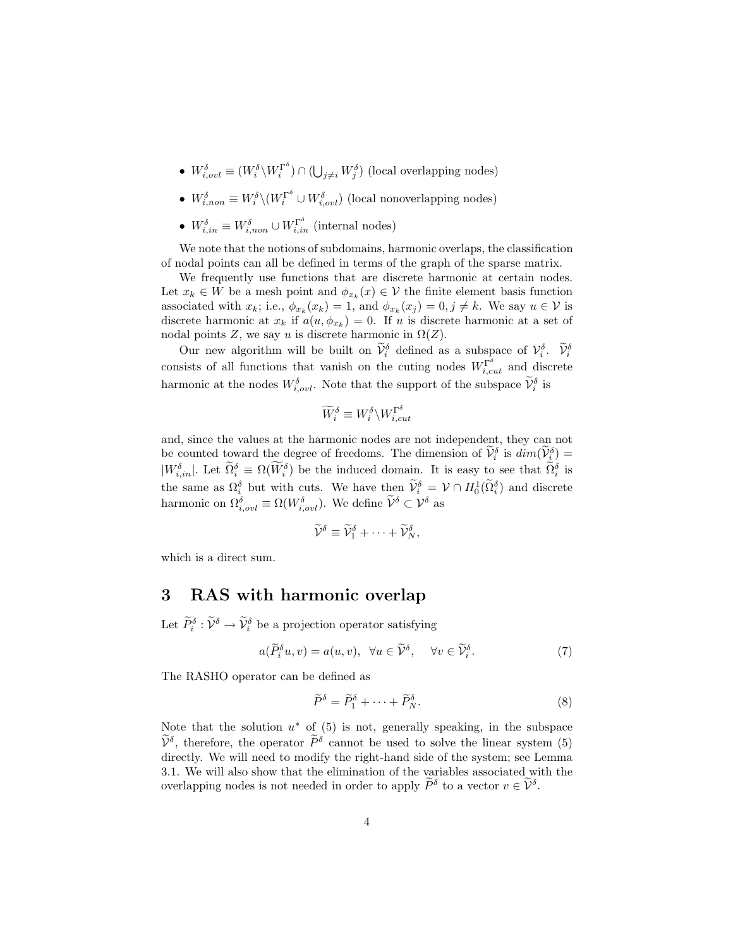- $W_{i,oul}^{\delta} \equiv (W_i^{\delta} \setminus W_i^{\Gamma^{\delta}}) \cap (\bigcup_{j \neq i} W_j^{\delta})$  (local overlapping nodes)
- $W_{i,non}^{\delta} \equiv W_i^{\delta} \backslash (W_i^{\Gamma^{\delta}} \cup W_{i,ovl}^{\delta})$  (local nonoverlapping nodes)
- $W_{i,in}^{\delta} \equiv W_{i,non}^{\delta} \cup W_{i,in}^{\Gamma^{\delta}}$  (internal nodes)

We note that the notions of subdomains, harmonic overlaps, the classification of nodal points can all be defined in terms of the graph of the sparse matrix.

We frequently use functions that are discrete harmonic at certain nodes. Let  $x_k \in W$  be a mesh point and  $\phi_{x_k}(x) \in V$  the finite element basis function associated with  $x_k$ ; i.e.,  $\phi_{x_k}(x_k) = 1$ , and  $\phi_{x_k}(x_j) = 0, j \neq k$ . We say  $u \in \mathcal{V}$  is discrete harmonic at  $x_k$  if  $a(u, \phi_{x_k}) = 0$ . If u is discrete harmonic at a set of nodal points Z, we say u is discrete harmonic in  $\Omega(Z)$ .

Our new algorithm will be built on  $\widetilde{V}_i^{\delta}$  defined as a subspace of  $\mathcal{V}_i^{\delta}$ .  $\widetilde{V}_i^{\delta}$ consists of all functions that vanish on the cuting nodes  $W_{i, cut}^{\Gamma^{\delta}}$  and discrete harmonic at the nodes  $W_{i, \text{out}}^{\delta}$ . Note that the support of the subspace  $\widetilde{\mathcal{V}}_{i}^{\delta}$  is

$$
\widetilde{W}_i^{\delta} \equiv W_i^{\delta} \backslash W_{i, cut}^{\Gamma^{\delta}}
$$

and, since the values at the harmonic nodes are not independent, they can not be counted toward the degree of freedoms. The dimension of  $\widetilde{V}_i^{\delta}$  is  $dim(\widetilde{V}_i^{\delta}) =$  $|W_{i,in}^{\delta}|$ . Let  $\widetilde{\Omega}_i^{\delta} \equiv \Omega(\widetilde{W}_i^{\delta})$  be the induced domain. It is easy to see that  $\widetilde{\Omega}_i^{\delta}$  is the same as  $\Omega_i^{\delta}$  but with cuts. We have then  $\widetilde{\mathcal{V}}_i^{\delta} = \mathcal{V} \cap H_0^1(\widetilde{\Omega}_i^{\delta})$  and discrete harmonic on  $\Omega_{i,out}^{\delta} \equiv \Omega(W_{i,out}^{\delta})$ . We define  $\widetilde{\mathcal{V}}^{\delta} \subset \mathcal{V}^{\delta}$  as

$$
\widetilde{\mathcal{V}}^{\delta} \equiv \widetilde{\mathcal{V}}^{\delta}_1 + \cdots + \widetilde{\mathcal{V}}^{\delta}_N,
$$

which is a direct sum.

#### **3 RAS with harmonic overlap**

Let  $\widetilde{P}_{i}^{\delta} : \widetilde{\mathcal{V}}^{\delta} \to \widetilde{\mathcal{V}}_{i}^{\delta}$  be a projection operator satisfying

$$
a(\widetilde{P}_i^{\delta} u, v) = a(u, v), \quad \forall u \in \widetilde{\mathcal{V}}^{\delta}, \quad \forall v \in \widetilde{\mathcal{V}}_i^{\delta}.
$$
 (7)

The RASHO operator can be defined as

$$
\widetilde{P}^{\delta} = \widetilde{P}_1^{\delta} + \dots + \widetilde{P}_N^{\delta}.
$$
\n(8)

Note that the solution  $u^*$  of (5) is not, generally speaking, in the subspace  $\widetilde{\mathcal{V}}^{\delta}$ , therefore, the operator  $\widetilde{P}^{\delta}$  cannot be used to solve the linear system (5) directly. We will need to modify the right-hand side of the system; see Lemma 3.1. We will also show that the elimination of the variables associated with the overlapping nodes is not needed in order to apply  $\widetilde{P}^{\delta}$  to a vector  $v \in \widetilde{\mathcal{V}}^{\delta}$ .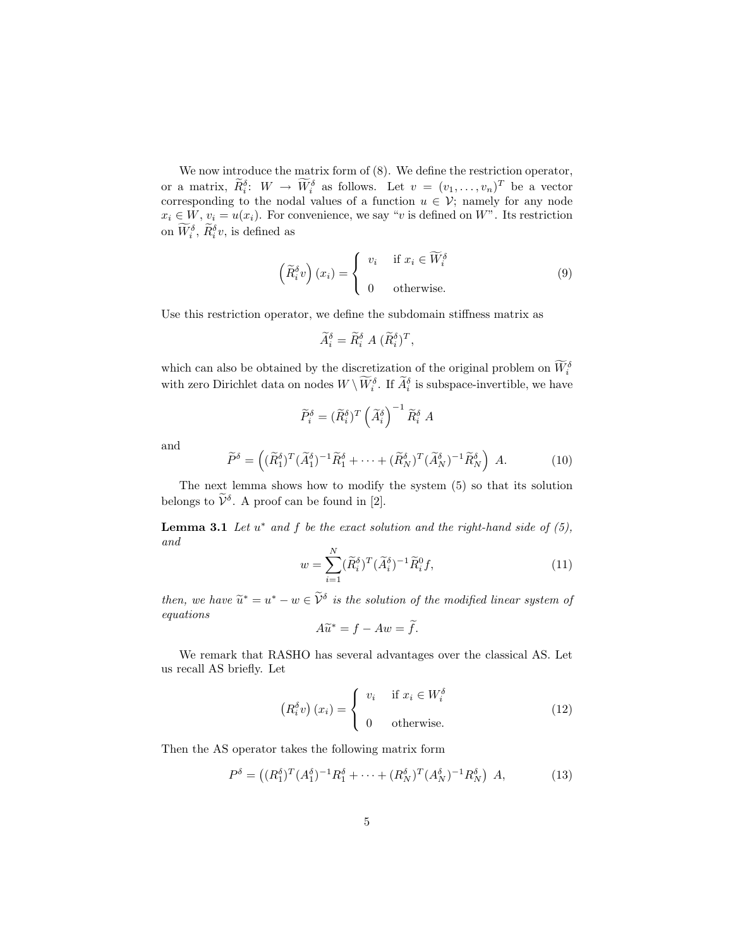We now introduce the matrix form of  $(8)$ . We define the restriction operator, or a matrix,  $\widetilde{R}_i^{\delta}$ :  $W \to \widetilde{W}_i^{\delta}$  as follows. Let  $v = (v_1, \ldots, v_n)^T$  be a vector corresponding to the nodal values of a function  $u \in V$ ; namely for any node  $x_i \in W$ ,  $v_i = u(x_i)$ . For convenience, we say "v is defined on W". Its restriction on  $\widetilde{W}_i^{\delta}$ ,  $\widetilde{R}_i^{\delta}v$ , is defined as

$$
\left(\widetilde{R}_{i}^{\delta}v\right)(x_{i}) = \begin{cases} v_{i} & \text{if } x_{i} \in \widetilde{W}_{i}^{\delta} \\ 0 & \text{otherwise.} \end{cases}
$$
\n(9)

Use this restriction operator, we define the subdomain stiffness matrix as

$$
\widetilde{A}_i^{\delta} = \widetilde{R}_i^{\delta} A (\widetilde{R}_i^{\delta})^T,
$$

which can also be obtained by the discretization of the original problem on  $\widetilde{W}_i^{\delta}$ with zero Dirichlet data on nodes  $W \setminus \widetilde{W}_{i}^{\delta}$ . If  $\widetilde{A}_{i}^{\delta}$  is subspace-invertible, we have

$$
\widetilde{P}_{i}^{\delta} = (\widetilde{R}_{i}^{\delta})^{T} \left(\widetilde{A}_{i}^{\delta}\right)^{-1} \widetilde{R}_{i}^{\delta} A
$$

and

$$
\widetilde{P}^{\delta} = \left( (\widetilde{R}_1^{\delta})^T (\widetilde{A}_1^{\delta})^{-1} \widetilde{R}_1^{\delta} + \dots + (\widetilde{R}_N^{\delta})^T (\widetilde{A}_N^{\delta})^{-1} \widetilde{R}_N^{\delta} \right) A. \tag{10}
$$

The next lemma shows how to modify the system (5) so that its solution belongs to  $\widetilde{\mathcal{V}}^{\delta}$ . A proof can be found in [2].

**Lemma 3.1** *Let* u<sup>∗</sup> *and* f *be the exact solution and the right-hand side of (5), and*

$$
w = \sum_{i=1}^{N} (\widetilde{R}_{i}^{\delta})^{T} (\widetilde{A}_{i}^{\delta})^{-1} \widetilde{R}_{i}^{0} f, \qquad (11)
$$

*then, we have*  $\tilde{u}^* = u^* - w \in \tilde{\mathcal{V}}^{\delta}$  *is the solution of the modified linear system of equations*

$$
A\widetilde{u}^* = f - Aw = \widetilde{f}.
$$

We remark that RASHO has several advantages over the classical AS. Let us recall AS briefly. Let

$$
\left(R_i^{\delta} v\right) (x_i) = \begin{cases} v_i & \text{if } x_i \in W_i^{\delta} \\ 0 & \text{otherwise.} \end{cases}
$$
 (12)

Then the AS operator takes the following matrix form

$$
P^{\delta} = ((R_1^{\delta})^T (A_1^{\delta})^{-1} R_1^{\delta} + \dots + (R_N^{\delta})^T (A_N^{\delta})^{-1} R_N^{\delta}) A, \qquad (13)
$$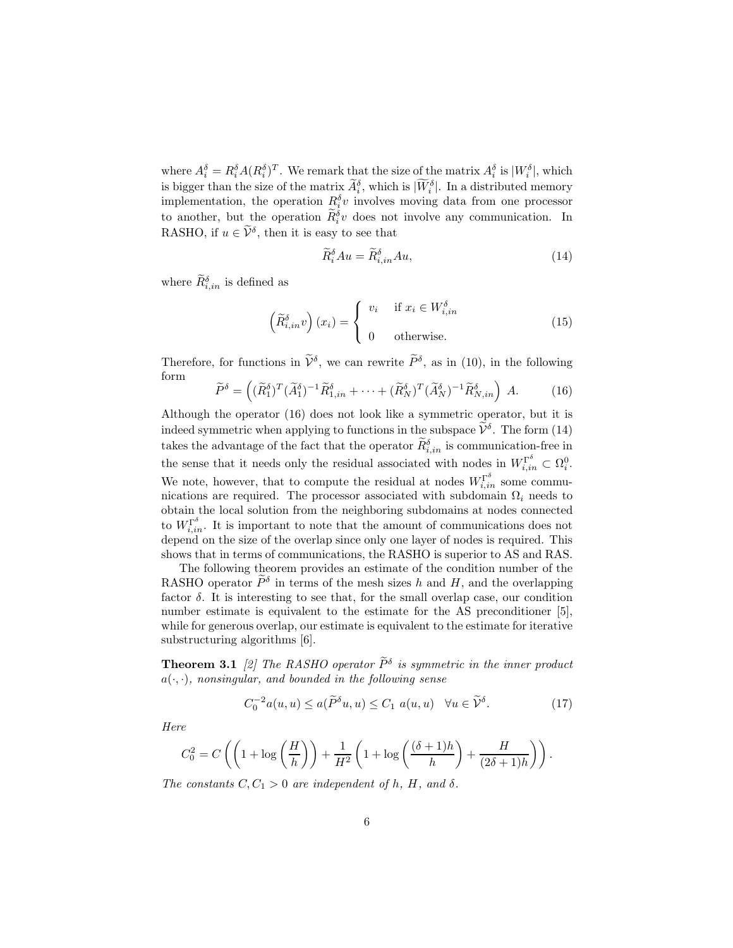where  $A_i^{\delta} = R_i^{\delta} A (R_i^{\delta})^T$ . We remark that the size of the matrix  $A_i^{\delta}$  is  $|W_i^{\delta}|$ , which is bigger than the size of the matrix  $\widetilde{A}_i^{\delta}$ , which is  $|\widetilde{W}_i^{\delta}|$ . In a distributed memory implementation, the operation  $R_i^{\delta}v$  involves moving data from one processor to another, but the operation  $\widetilde{R}_i^{\delta}v$  does not involve any communication. In RASHO, if  $u \in \widetilde{\mathcal{V}}^{\delta}$ , then it is easy to see that

$$
\widetilde{R}_i^{\delta} A u = \widetilde{R}_{i,in}^{\delta} A u,\tag{14}
$$

where  $\widetilde{R}_{i,in}^{\delta}$  is defined as

$$
\left(\widetilde{R}_{i,in}^{\delta}v\right)(x_i) = \begin{cases} v_i & \text{if } x_i \in W_{i,in}^{\delta} \\ 0 & \text{otherwise.} \end{cases}
$$
\n(15)

Therefore, for functions in  $\tilde{\mathcal{V}}^{\delta}$ , we can rewrite  $\tilde{P}^{\delta}$ , as in (10), in the following form

$$
\widetilde{P}^{\delta} = \left( (\widetilde{R}_1^{\delta})^T (\widetilde{A}_1^{\delta})^{-1} \widetilde{R}_{1,in}^{\delta} + \dots + (\widetilde{R}_N^{\delta})^T (\widetilde{A}_N^{\delta})^{-1} \widetilde{R}_{N,in}^{\delta} \right) A. \tag{16}
$$

Although the operator (16) does not look like a symmetric operator, but it is indeed symmetric when applying to functions in the subspace  $\widetilde{\mathcal{V}}^{\delta}$ . The form (14) takes the advantage of the fact that the operator  $\widetilde{R}_{i,in}^{\delta}$  is communication-free in the sense that it needs only the residual associated with nodes in  $W_{i,in}^{\Gamma^{\delta}} \subset \Omega_i^0$ . We note, however, that to compute the residual at nodes  $W_{i,in}^{\Gamma^{\delta}}$  some communications are required. The processor associated with subdomain  $\Omega_i$  needs to obtain the local solution from the neighboring subdomains at nodes connected to  $W_{i,in}^{\Gamma^{\delta}}$ . It is important to note that the amount of communications does not depend on the size of the overlap since only one layer of nodes is required. This shows that in terms of communications, the RASHO is superior to AS and RAS.

The following theorem provides an estimate of the condition number of the RASHO operator  $\widetilde{P}^{\delta}$  in terms of the mesh sizes h and H, and the overlapping factor  $\delta$ . It is interesting to see that, for the small overlap case, our condition number estimate is equivalent to the estimate for the AS preconditioner [5], while for generous overlap, our estimate is equivalent to the estimate for iterative substructuring algorithms [6].

**Theorem 3.1** [2] The RASHO operator  $\tilde{P}^{\delta}$  is symmetric in the inner product  $a(\cdot, \cdot)$ *, nonsingular, and bounded in the following sense* 

$$
C_0^{-2}a(u, u) \le a(\widetilde{P}^\delta u, u) \le C_1 a(u, u) \quad \forall u \in \widetilde{\mathcal{V}}^\delta. \tag{17}
$$

*Here*

$$
C_0^2 = C\left(\left(1 + \log\left(\frac{H}{h}\right)\right) + \frac{1}{H^2}\left(1 + \log\left(\frac{(\delta+1)h}{h}\right) + \frac{H}{(2\delta+1)h}\right)\right).
$$

*The constants*  $C, C_1 > 0$  *are independent of h, H, and*  $\delta$ *.*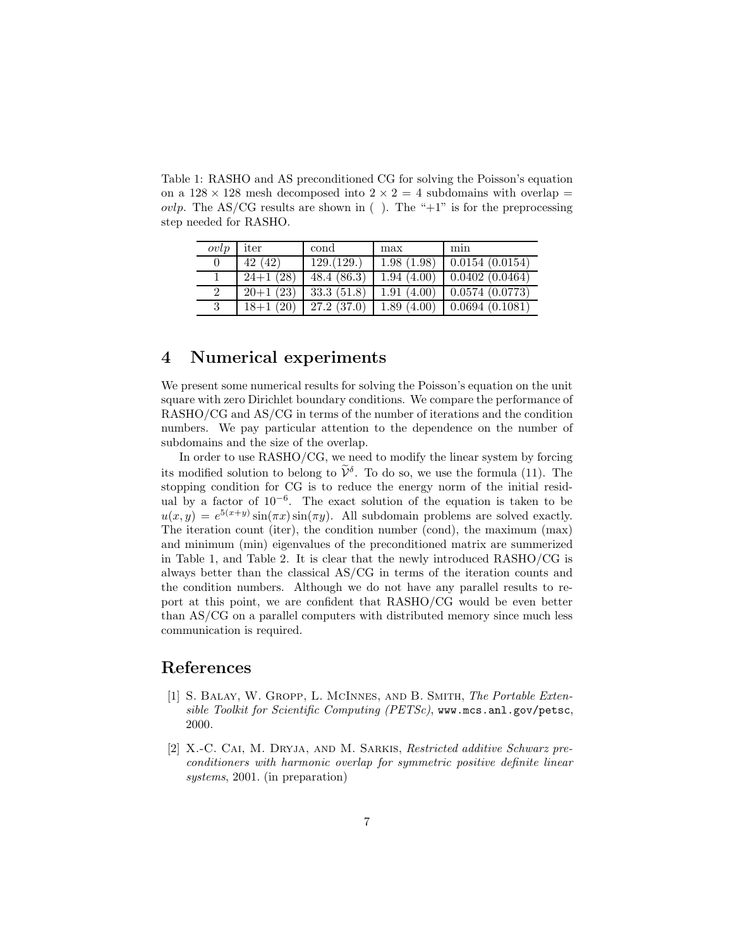Table 1: RASHO and AS preconditioned CG for solving the Poisson's equation on a  $128 \times 128$  mesh decomposed into  $2 \times 2 = 4$  subdomains with overlap *ovlp.* The AS/CG results are shown in (). The " $+1$ " is for the preprocessing step needed for RASHO.

| ovlp | iter       | cond           | max        | min                          |
|------|------------|----------------|------------|------------------------------|
|      | 42 (42)    | 129.(129.)     | 1.98(1.98) | 0.0154~(0.0154)              |
|      | $24+1(28)$ | 48.4(86.3)     |            | $1.94(4.00)$ 0.0402 (0.0464) |
| 2    | $20+1(23)$ | $33.3\ (51.8)$ | 1.91(4.00) | $\mid$ 0.0574 (0.0773)       |
| 3    | $18+1(20)$ | 27.2(37.0)     | 1.89(4.00) | $\mid$ 0.0694 (0.1081)       |

#### **4 Numerical experiments**

We present some numerical results for solving the Poisson's equation on the unit square with zero Dirichlet boundary conditions. We compare the performance of RASHO/CG and AS/CG in terms of the number of iterations and the condition numbers. We pay particular attention to the dependence on the number of subdomains and the size of the overlap.

In order to use RASHO/CG, we need to modify the linear system by forcing its modified solution to belong to  $\widetilde{\mathcal{V}}^{\delta}$ . To do so, we use the formula (11). The stopping condition for CG is to reduce the energy norm of the initial residual by a factor of  $10^{-6}$ . The exact solution of the equation is taken to be  $u(x, y) = e^{5(x+y)} \sin(\pi x) \sin(\pi y)$ . All subdomain problems are solved exactly. The iteration count (iter), the condition number (cond), the maximum (max) and minimum (min) eigenvalues of the preconditioned matrix are summerized in Table 1, and Table 2. It is clear that the newly introduced RASHO/CG is always better than the classical AS/CG in terms of the iteration counts and the condition numbers. Although we do not have any parallel results to report at this point, we are confident that RASHO/CG would be even better than AS/CG on a parallel computers with distributed memory since much less communication is required.

## **References**

- [1] S. Balay, W. Gropp, L. McInnes, and B. Smith, *The Portable Extensible Toolkit for Scientific Computing (PETSc)*, www.mcs.anl.gov/petsc, 2000.
- [2] X.-C. Cai, M. Dryja, and M. Sarkis, *Restricted additive Schwarz preconditioners with harmonic overlap for symmetric positive definite linear systems*, 2001. (in preparation)